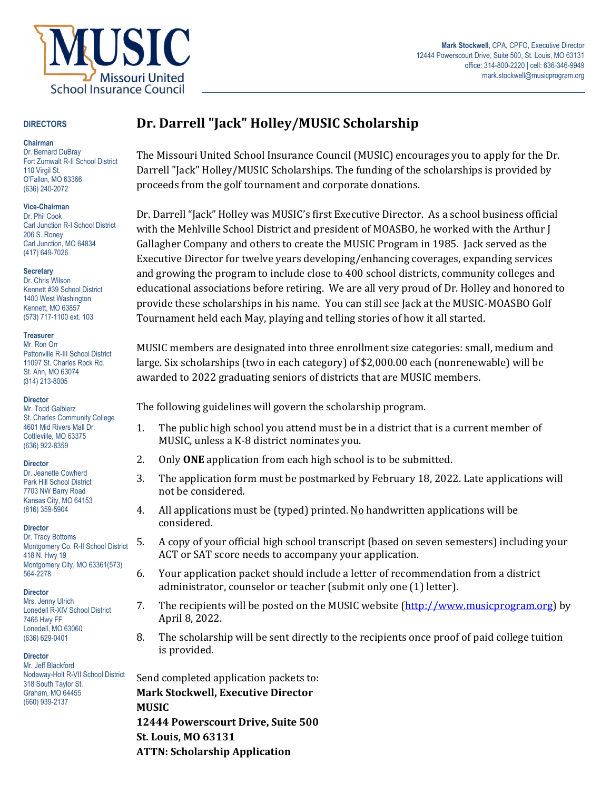

### **DIRECTORS**

#### **Chairman**

Dr. Bernard DuBray Fort Zumwalt R-II School District 110 Virgil St. O'Fallon, MO 63366 (636) 240-2072

### **Vice-Chairman**

Dr. Phil Cook Carl Junction R-I School District 206 S. Roney Carl Junction, MO 64834 (417) 649-7026

### **Secretary**

Dr. Chris Wilson Kennett #39 School District 1400 West Washington Kennett, MO 63857 (573) 717-1100 ext. 103

### **Treasurer**

Mr. Ron Orr Pattonville R-III School District 11097 St. Charles Rock Rd. St. Ann, MO 63074 (314) 213-8005

### **Director**

Mr. Todd Galbierz St. Charles Community College 4601 Mid Rivers Mall Dr. Cottleville, MO 63375 (636) 922-8359

### **Director**

Dr. Jeanette Cowherd Park Hill School District 7703 NW Barry Road Kansas City, MO 64153 (816) 359-5904

### **Director**

Dr. Tracy Bottoms Montgomery Co. R-II School District 418 N. Hwy 19 Montgomery City, MO 63361(573) 564-2278

### **Director**

Mrs. Jenny Ulrich Lonedell R-XIV School District 7466 Hwy FF Lonedell, MO 63060 (636) 629-0401

### **Director**

Mr. Jeff Blackford Nodaway-Holt R-VII School District 318 South Taylor St. Graham, MO 64455 (660) 939-2137

# **Dr. Darrell "Jack" Holley/MUSIC Scholarship**

The Missouri United School Insurance Council (MUSIC) encourages you to apply for the Dr. Darrell "Jack" Holley/MUSIC Scholarships. The funding of the scholarships is provided by proceeds from the golf tournament and corporate donations.

Dr. Darrell "Jack" Holley was MUSIC's first Executive Director. As a school business official with the Mehlville School District and president of MOASBO, he worked with the Arthur J Gallagher Company and others to create the MUSIC Program in 1985. Jack served as the Executive Director for twelve years developing/enhancing coverages, expanding services and growing the program to include close to 400 school districts, community colleges and educational associations before retiring. We are all very proud of Dr. Holley and honored to provide these scholarships in his name. You can still see Jack at the MUSIC-MOASBO Golf Tournament held each May, playing and telling stories of how it all started.

MUSIC members are designated into three enrollment size categories: small, medium and large. Six scholarships (two in each category) of \$2,000.00 each (nonrenewable) will be awarded to 2022 graduating seniors of districts that are MUSIC members.

The following guidelines will govern the scholarship program.

- 1. The public high school you attend must be in a district that is a current member of MUSIC, unless a K-8 district nominates you.
- 2. Only **ONE** application from each high school is to be submitted.
- 3. The application form must be postmarked by February 18, 2022. Late applications will not be considered.
- 4. All applications must be (typed) printed. No handwritten applications will be considered.
- 5. A copy of your official high school transcript (based on seven semesters) including your ACT or SAT score needs to accompany your application.
- 6. Your application packet should include a letter of recommendation from a district administrator, counselor or teacher (submit only one (1) letter).
- 7. The recipients will be posted on the MUSIC website (http://www.musicprogram.org) by April 8, 2022.
- 8. The scholarship will be sent directly to the recipients once proof of paid college tuition is provided.

Send completed application packets to: **Mark Stockwell, Executive Director MUSIC 12444 Powerscourt Drive, Suite 500 St. Louis, MO 63131 ATTN: Scholarship Application**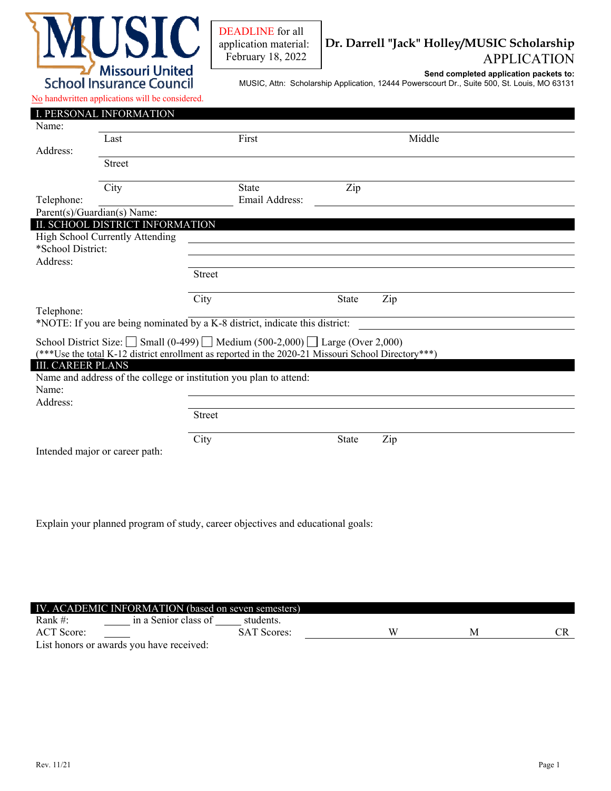

DEADLINE for all application material: February 18, 2022

## **Dr. Darrell "Jack" Holley/MUSIC Scholarship** APPLICATION

**Send completed application packets to:**

MUSIC, Attn: Scholarship Application, 12444 Powerscourt Dr., Suite 500, St. Louis, MO 63131

### No handwritten applications will be considered.

|                                                                                                                                                                                                       | I. PERSONAL INFORMATION         |                                                                              |              |        |  |  |  |  |  |
|-------------------------------------------------------------------------------------------------------------------------------------------------------------------------------------------------------|---------------------------------|------------------------------------------------------------------------------|--------------|--------|--|--|--|--|--|
| Name:                                                                                                                                                                                                 |                                 |                                                                              |              |        |  |  |  |  |  |
|                                                                                                                                                                                                       | Last                            | First                                                                        |              | Middle |  |  |  |  |  |
| Address:                                                                                                                                                                                              |                                 |                                                                              |              |        |  |  |  |  |  |
|                                                                                                                                                                                                       | <b>Street</b>                   |                                                                              |              |        |  |  |  |  |  |
|                                                                                                                                                                                                       |                                 |                                                                              |              |        |  |  |  |  |  |
|                                                                                                                                                                                                       | City                            | <b>State</b>                                                                 | Zip          |        |  |  |  |  |  |
| Telephone:                                                                                                                                                                                            |                                 | Email Address:                                                               |              |        |  |  |  |  |  |
|                                                                                                                                                                                                       | Parent(s)/Guardian(s) Name:     |                                                                              |              |        |  |  |  |  |  |
|                                                                                                                                                                                                       | II. SCHOOL DISTRICT INFORMATION |                                                                              |              |        |  |  |  |  |  |
|                                                                                                                                                                                                       | High School Currently Attending |                                                                              |              |        |  |  |  |  |  |
| *School District:                                                                                                                                                                                     |                                 |                                                                              |              |        |  |  |  |  |  |
| Address:                                                                                                                                                                                              |                                 |                                                                              |              |        |  |  |  |  |  |
|                                                                                                                                                                                                       |                                 | <b>Street</b>                                                                |              |        |  |  |  |  |  |
|                                                                                                                                                                                                       |                                 |                                                                              |              |        |  |  |  |  |  |
|                                                                                                                                                                                                       |                                 | City                                                                         | <b>State</b> | Zip    |  |  |  |  |  |
| Telephone:                                                                                                                                                                                            |                                 |                                                                              |              |        |  |  |  |  |  |
|                                                                                                                                                                                                       |                                 | *NOTE: If you are being nominated by a K-8 district, indicate this district: |              |        |  |  |  |  |  |
|                                                                                                                                                                                                       |                                 |                                                                              |              |        |  |  |  |  |  |
| School District Size: $\Box$ Small (0-499) $\Box$ Medium (500-2,000) $\Box$ Large (Over 2,000)<br>(***Use the total K-12 district enrollment as reported in the 2020-21 Missouri School Directory***) |                                 |                                                                              |              |        |  |  |  |  |  |
|                                                                                                                                                                                                       |                                 |                                                                              |              |        |  |  |  |  |  |
| <b>III. CAREER PLANS</b><br>Name and address of the college or institution you plan to attend:                                                                                                        |                                 |                                                                              |              |        |  |  |  |  |  |
| Name:                                                                                                                                                                                                 |                                 |                                                                              |              |        |  |  |  |  |  |
| Address:                                                                                                                                                                                              |                                 |                                                                              |              |        |  |  |  |  |  |
|                                                                                                                                                                                                       |                                 | <b>Street</b>                                                                |              |        |  |  |  |  |  |
|                                                                                                                                                                                                       |                                 |                                                                              |              |        |  |  |  |  |  |
|                                                                                                                                                                                                       |                                 | City                                                                         | <b>State</b> | Zip    |  |  |  |  |  |
|                                                                                                                                                                                                       |                                 |                                                                              |              |        |  |  |  |  |  |
| Intended major or career path:                                                                                                                                                                        |                                 |                                                                              |              |        |  |  |  |  |  |
|                                                                                                                                                                                                       |                                 |                                                                              |              |        |  |  |  |  |  |
|                                                                                                                                                                                                       |                                 |                                                                              |              |        |  |  |  |  |  |

Explain your planned program of study, career objectives and educational goals:

| IV. ACADEMIC INFORMATION (based on seven semesters) |                      |                    |  |   |  |  |  |  |  |
|-----------------------------------------------------|----------------------|--------------------|--|---|--|--|--|--|--|
| Rank #:                                             | in a Senior class of | students.          |  |   |  |  |  |  |  |
| ACT Score:                                          |                      | <b>SAT Scores:</b> |  | w |  |  |  |  |  |
| List honors or awards you have received:            |                      |                    |  |   |  |  |  |  |  |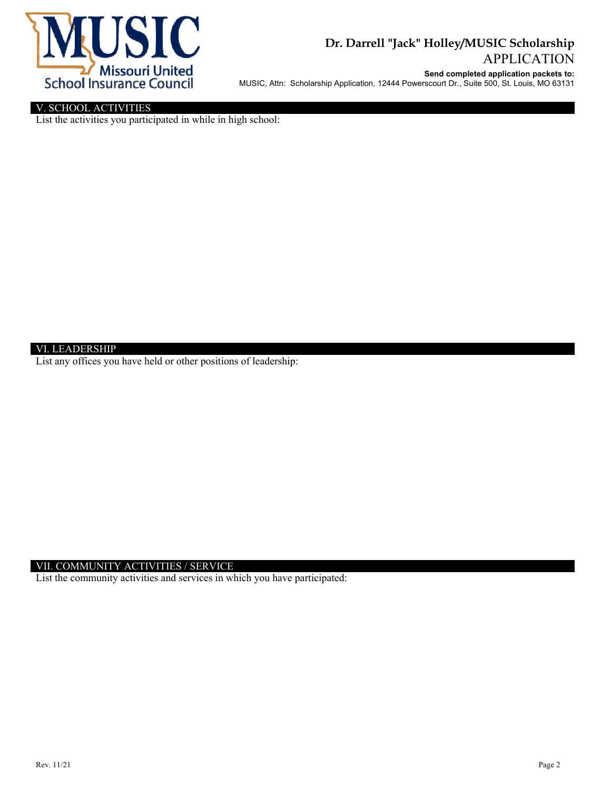

## **Dr. Darrell "Jack" Holley/MUSIC Scholarship** APPLICATION

**Send completed application packets to:**

MUSIC, Attn: Scholarship Application, 12444 Powerscourt Dr., Suite 500, St. Louis, MO 63131

## V. SCHOOL ACTIVITIES

List the activities you participated in while in high school:

### VI. LEADERSHIP

List any offices you have held or other positions of leadership:

### VII. COMMUNITY ACTIVITIES / SERVICE

List the community activities and services in which you have participated: